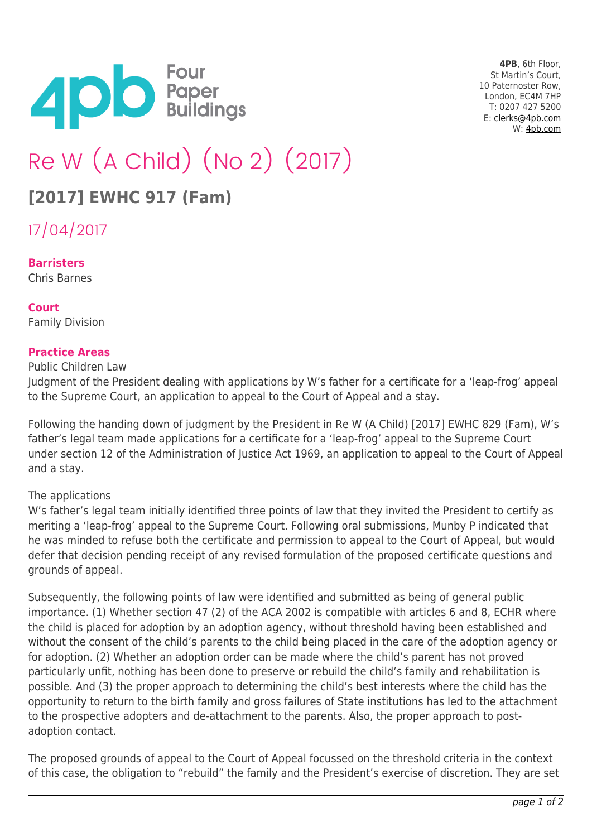

**4PB**, 6th Floor, St Martin's Court, 10 Paternoster Row, London, EC4M 7HP T: 0207 427 5200 E: [clerks@4pb.com](mailto:clerks@4pb.com) W: [4pb.com](http://4pb.com)

# Re W (A Child) (No 2) (2017)

# **[2017] EWHC 917 (Fam)**

17/04/2017

#### **Barristers**

Chris Barnes

## **Court**

Family Division

#### **Practice Areas**

Public Children Law

Judgment of the President dealing with applications by W's father for a certificate for a 'leap-frog' appeal to the Supreme Court, an application to appeal to the Court of Appeal and a stay.

Following the handing down of judgment by the President in Re W (A Child) [2017] EWHC 829 (Fam), W's father's legal team made applications for a certificate for a 'leap-frog' appeal to the Supreme Court under section 12 of the Administration of Justice Act 1969, an application to appeal to the Court of Appeal and a stay.

#### The applications

W's father's legal team initially identified three points of law that they invited the President to certify as meriting a 'leap-frog' appeal to the Supreme Court. Following oral submissions, Munby P indicated that he was minded to refuse both the certificate and permission to appeal to the Court of Appeal, but would defer that decision pending receipt of any revised formulation of the proposed certificate questions and grounds of appeal.

Subsequently, the following points of law were identified and submitted as being of general public importance. (1) Whether section 47 (2) of the ACA 2002 is compatible with articles 6 and 8, ECHR where the child is placed for adoption by an adoption agency, without threshold having been established and without the consent of the child's parents to the child being placed in the care of the adoption agency or for adoption. (2) Whether an adoption order can be made where the child's parent has not proved particularly unfit, nothing has been done to preserve or rebuild the child's family and rehabilitation is possible. And (3) the proper approach to determining the child's best interests where the child has the opportunity to return to the birth family and gross failures of State institutions has led to the attachment to the prospective adopters and de-attachment to the parents. Also, the proper approach to postadoption contact.

The proposed grounds of appeal to the Court of Appeal focussed on the threshold criteria in the context of this case, the obligation to "rebuild" the family and the President's exercise of discretion. They are set